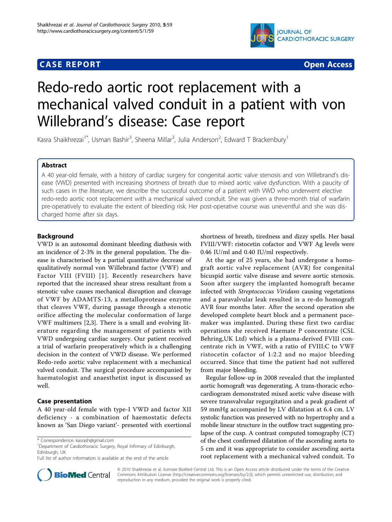### **CASE REPORT CASE REPORT CASE REPORT**



# Redo-redo aortic root replacement with a mechanical valved conduit in a patient with von Willebrand's disease: Case report

Kasra Shaikhrezai<sup>1\*</sup>, Usman Bashir<sup>3</sup>, Sheena Millar<sup>3</sup>, Julia Anderson<sup>2</sup>, Edward T Brackenbury<sup>1</sup>

#### Abstract

A 40 year-old female, with a history of cardiac surgery for congenital aortic valve stenosis and von Willebrand's disease (VWD) presented with increasing shortness of breath due to mixed aortic valve dysfunction. With a paucity of such cases in the literature, we describe the successful outcome of a patient with VWD who underwent elective redo-redo aortic root replacement with a mechanical valved conduit. She was given a three-month trial of warfarin pre-operatively to evaluate the extent of bleeding risk. Her post-operative course was uneventful and she was discharged home after six days.

#### Background

VWD is an autosomal dominant bleeding diathesis with an incidence of 2-3% in the general population. The disease is characterised by a partial quantitative decrease of qualitatively normal von Willebrand factor (VWF) and Factor VIII (FVIII) [[1](#page-2-0)]. Recently researchers have reported that the increased shear stress resultant from a stenotic valve causes mechanical disruption and cleavage of VWF by ADAMTS-13, a metalloprotease enzyme that cleaves VWF, during passage through a stenotic orifice affecting the molecular conformation of large VWF multimers [[2,3\]](#page-2-0). There is a small and evolving literature regarding the management of patients with VWD undergoing cardiac surgery. Our patient received a trial of warfarin preoperatively which is a challenging decision in the context of VWD disease. We performed Redo-redo aortic valve replacement with a mechanical valved conduit. The surgical procedure accompanied by haematologist and anaesthetist input is discussed as well.

#### Case presentation

A 40 year-old female with type-I VWD and factor XII deficiency - a combination of haemostatic defects known as 'San Diego variant'- presented with exertional

\* Correspondence: [kasrash@gmail.com](mailto:kasrash@gmail.com)

<sup>1</sup>Department of Cardiothoracic Surgery, Royal Infirmary of Edinburgh, Edinburgh, UK

Full list of author information is available at the end of the article



shortness of breath, tiredness and dizzy spells. Her basal FVIII/VWF: ristocetin cofactor and VWF Ag levels were 0.46 IU/ml and 0.40 IU/ml respectively.

At the age of 25 years, she had undergone a homograft aortic valve replacement (AVR) for congenital bicuspid aortic valve disease and severe aortic stenosis. Soon after surgery the implanted homograft became infected with Streptococcus Viridans causing vegetations and a paravalvular leak resulted in a re-do homograft AVR four months later. After the second operation she developed complete heart block and a permanent pacemaker was implanted. During these first two cardiac operations she received Haemate P concentrate (CSL Behring,UK Ltd) which is a plasma-derived FVIII concentrate rich in VWF, with a ratio of FVIII:C to VWF ristocetin cofactor of 1:2.2 and no major bleeding occurred. Since that time the patient had not suffered from major bleeding.

Regular follow-up in 2008 revealed that the implanted aortic homograft was degenerating. A trans-thoracic echocardiogram demonstrated mixed aortic valve disease with severe transvalvular regurgitation and a peak gradient of 59 mmHg accompanied by LV dilatation at 6.4 cm. LV systolic function was preserved with no hypertrophy and a mobile linear structure in the outflow tract suggesting prolapse of the cusp. A contrast computed tomography (CT) of the chest confirmed dilatation of the ascending aorta to 5 cm and it was appropriate to consider ascending aorta root replacement with a mechanical valved conduit. To

© 2010 Shaikhrezai et al; licensee BioMed Central Ltd. This is an Open Access article distributed under the terms of the Creative Commons Attribution License [\(http://creativecommons.org/licenses/by/2.0](http://creativecommons.org/licenses/by/2.0)), which permits unrestricted use, distribution, and reproduction in any medium, provided the original work is properly cited.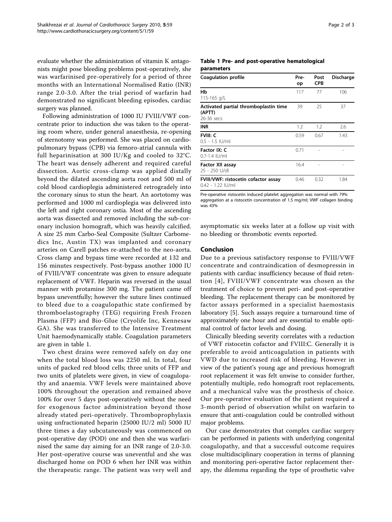evaluate whether the administration of vitamin K antagonists might pose bleeding problems post-operatively, she was warfarinised pre-operatively for a period of three months with an International Normalised Ratio (INR) range 2.0-3.0. After the trial period of warfarin had demonstrated no significant bleeding episodes, cardiac surgery was planned.

Following administration of 1000 IU FVIII/VWF concentrate prior to induction she was taken to the operating room where, under general anaesthesia, re-opening of sternotomy was performed. She was placed on cardiopulmonary bypass (CPB) via femoro-atrial cannula with full heparinisation at 300 IU/Kg and cooled to 32°C. The heart was densely adherent and required careful dissection. Aortic cross-clamp was applied distally beyond the dilated ascending aorta root and 500 ml of cold blood cardioplegia administered retrogradely into the coronary sinus to stun the heart. An aortotomy was performed and 1000 ml cardioplegia was delivered into the left and right coronary ostia. Most of the ascending aorta was dissected and removed including the sub-coronary inclusion homograft, which was heavily calcified. A size 25 mm Carbo-Seal Composite (Sultzer Carbomedics Inc, Austin TX) was implanted and coronary arteries on Carell patches re-attached to the neo-aorta. Cross clamp and bypass time were recorded at 132 and 156 minutes respectively. Post-bypass another 1000 IU of FVIII/VWF concentrate was given to ensure adequate replacement of VWF. Heparin was reversed in the usual manner with protamine 300 mg. The patient came off bypass uneventfully; however the suture lines continued to bleed due to a coagulopathic state confirmed by thromboelastography (TEG) requiring Fresh Frozen Plasma (FFP) and Bio-Glue (Cryolife Inc, Kennesaw GA). She was transferred to the Intensive Treatment Unit haemodynamically stable. Coagulation parameters are given in table 1.

Two chest drains were removed safely on day one when the total blood loss was 2250 ml. In total, four units of packed red blood cells; three units of FFP and two units of platelets were given, in view of coagulopathy and anaemia. VWF levels were maintained above 100% throughout the operation and remained above 100% for over 5 days post-operatively without the need for exogenous factor administration beyond those already stated peri-operatively. Thromboprophylaxis using unfractionated heparin (25000 IU/2 ml) 5000 IU three times a day subcutaneously was commenced on post-operative day (POD) one and then she was warfarinised the same day aiming for an INR range of 2.0-3.0. Her post-operative course was uneventful and she was discharged home on POD 6 when her INR was within the therapeutic range. The patient was very well and

#### Table 1 Pre- and post-operative hematological parameters

| <b>Coagulation profile</b>                                    | Pre-<br>op | Post<br><b>CPB</b> | Discharge |
|---------------------------------------------------------------|------------|--------------------|-----------|
| Нb<br>115-165 g/L                                             | 117        | 77                 | 106       |
| Activated partial thromboplastin time<br>(APTT)<br>26-36 secs | 39         | 25                 | 37        |
| <b>INR</b>                                                    | 1.2        | 1.2                | 2.6       |
| <b>FVIII: C</b><br>$0.5 - 1.5$ IU/ml                          | 0.59       | 0.67               | 1.43      |
| Factor IX: C<br>0.7-1.4 IU/ml                                 | 0.71       |                    |           |
| <b>Factor XII assay</b><br>25 - 250 U/dl                      | 16.4       |                    |           |
| FVIII/VWF: ristocetin cofactor assay<br>0.42 - 1.22 IU/ml     | 0.46       | 0.32               | 1.84      |

Pre-operative ristocetin induced platelet aggregation was normal with 79% aggregation at a ristocetin concentration of 1.5 mg/ml; VWF collagen binding was 43%

asymptomatic six weeks later at a follow up visit with no bleeding or thrombotic events reported.

#### Conclusion

Due to a previous satisfactory response to FVIII/VWF concentrate and contraindication of desmopressin in patients with cardiac insufficiency because of fluid retention [[4\]](#page-2-0), FVIII/VWF concentrate was chosen as the treatment of choice to prevent peri- and post-operative bleeding. The replacement therapy can be monitored by factor assays performed in a specialist haemostasis laboratory [\[5\]](#page-2-0). Such assays require a turnaround time of approximately one hour and are essential to enable optimal control of factor levels and dosing.

Clinically bleeding severity correlates with a reduction of VWF ristocetin cofactor and FVIII:C. Generally it is preferable to avoid anticoagulation in patients with VWD due to increased risk of bleeding. However in view of the patient's young age and previous homograft root replacement it was felt unwise to consider further, potentially multiple, redo homograft root replacements, and a mechanical valve was the prosthesis of choice. Our pre-operative evaluation of the patient required a 3-month period of observation whilst on warfarin to ensure that anti-coagulation could be controlled without major problems.

Our case demonstrates that complex cardiac surgery can be performed in patients with underlying congenital coagulopathy, and that a successful outcome requires close multidisciplinary cooperation in terms of planning and monitoring peri-operative factor replacement therapy, the dilemma regarding the type of prosthetic valve